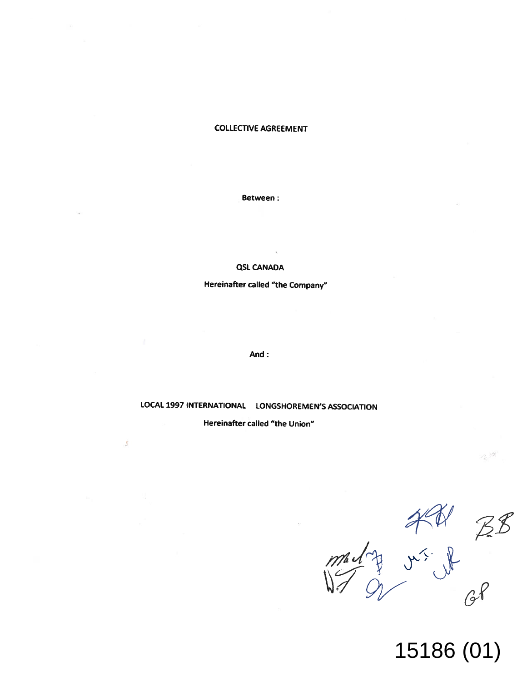# **COLLECTIVE AGREEMENT**

### **Between:**

### **QSL CANADA**

**Hereinafter called "the Company"**

**And :**

**LOCAL 1997 INTERNATIONAL LONGSHOREMEN'S ASSOCIATION**

**Hereinafter called "the Union"**

š

 $38$  $\sqrt{2}$ 

15186 (01)

-3.34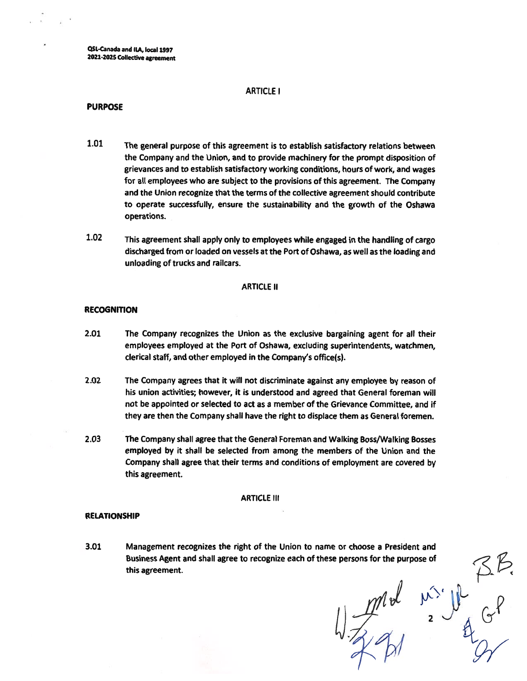**QSL-Canada and ILA, local 1997 2021-2025 Collective agreement**

#### **ARTICLE I**

#### **PURPOSE**

- **1.01 The general purpose of this agreement is to establish satisfactory relations between the Company and the Union, and to provide machinery for the prompt disposition of grievances and to establish satisfactory working conditions,hours of work,and wages for all employees who are subject to the provisions of this agreement. The Company and the Union recognize that the terms of the collective agreement should contribute to operate successfully, ensure the sustainability and the growth of the Oshawa operations.**
- **1.02 This agreement shall apply only to employees while engaged in the handling of cargo discharged from or loaded on vessels at the Port of Oshawa,as well as the loading and unloading of trucks and railcars.**

#### **ARTICLE II**

### **RECOGNITION**

- **2.01 The Company recognizes the Union as the exclusive bargaining agent for all their employees employed at the Port of Oshawa, excluding superintendents, watchmen, clerical staff,and other employed in the Company's office(s).**
- **2.02 The Company agrees that it will not discriminate against any employee by reason of his union activities;however, it is understood and agreed that General foreman will not be appointed or selected to act as <sup>a</sup> member of the Grievance Committee, and if they are then the Company shall have the right to displace them as General foremen.**
- **2.03 The Company shall agree that the General Foreman and Walking Boss/Walking Bosses employed by it shall be selected from among the members of the Union and the Company shall agree that their terms and conditions of employment are covered by this agreement.**

#### **ARTICLE III**

#### **RELATIONSHIP**

**Management recognizes the right of the Union to name or choose a President and Business Agent and shall agree to recognize each of these persons for the purpose of<br>this agreement.<br>** $\frac{1}{2}$ **<br>** $\frac{1}{2}$ **<br>** $\frac{1}{2}$ **<br>** $\frac{1}{2}$ **this agreement. 3.01**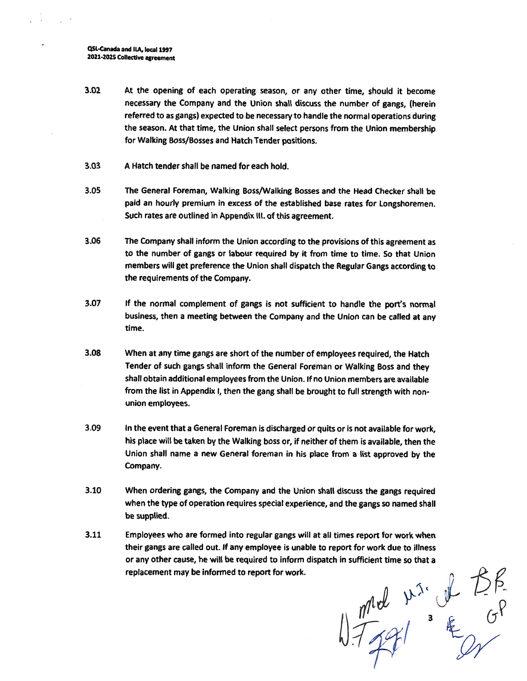**QS(.-Canada and ILA,local 1997 <sup>2021</sup>-2025 Collective agreement**

- **At the opening of each operating season, or any other time, should it become necessary the Company and the Union shall discuss the number of gangs, (herein referred to as gangs) expected to be necessary to handle the normal operations during the season. At that time, the Union shall select persons from the Union membership for Walking Boss/Bosses and Hatch Tender positions. 3.02**
- **3.03 A Hatch tender shall be named for each hold.**
- **The General Foreman, Walking Boss/Walking Bosses and the Head Checker shall be paid an hourly premium in excess of the established base rates for Longshoremen. Such rates are outlined in Appendix III.of this agreement. 3.05**
- **The Company shall inform the Union according to the provisions of this agreement as to the number of gangs or labour required by it from time to time. So that Union members will get preference the Union shall dispatch the Regular Gangs according to the requirements of the Company. 3.06**
- **If the normal complement of gangs is not sufficient to handle the port'<sup>s</sup> normal business, then <sup>a</sup> meeting between the Company and the Union can be called at any time. 3.07**
- **When at any time gangs are short of the number of employees required,the Hatch Tender of such gangs shall inform the General Foreman or Walking Boss and they shall obtain additional employees from the Union. If no Union members are available from the list in Appendix <sup>I</sup>,then the gang shall be brought to full strength with nonunion employees. 3.08**
- **In the event that <sup>a</sup> General Foreman is discharged or quitsor is not available for work,** his place will be taken by the Walking boss or, if neither of them is available, then the **Union shall name <sup>a</sup> new General foreman in his place from <sup>a</sup> list approved by the Company. 3.09**
- **3.10 When ordering gangs, the Company and the Union shall discuss the gangs required when the type of operation requires special experience, and the gangs so named shall be supplied.**
- **Employees who are formed into regular gangs will at all times report for work when their gangs are called out. If any employee is unable to report for work due to illness or any other cause, he will be required to inform dispatch in sufficient time so that <sup>a</sup> replacement may be informed to report for work. 3.11**

 $\frac{1}{\sqrt{1+2\gamma}}$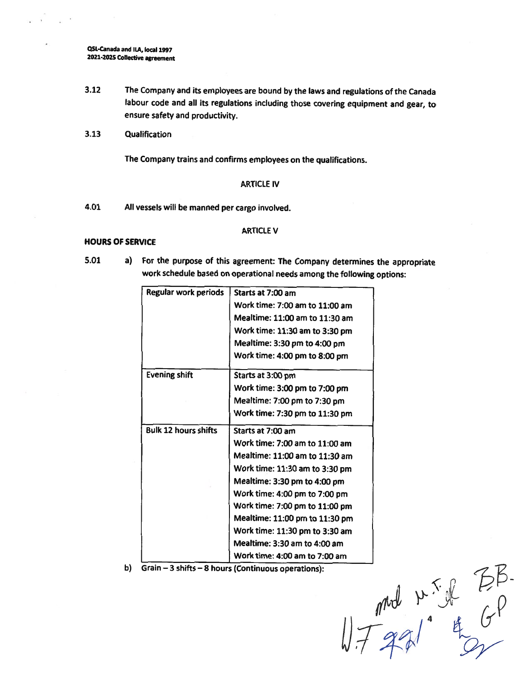**QSL-Canada and <sup>I</sup>LA,local 1997 2021-2025 Collective agreement**

- **3.12 The Company and its employees are bound by the laws and regulations of the Canada labour code and all its regulations including those covering equipment and gear, to ensure safety and productivity.**
- **3.13 Qualification**

**The Company trains and confirms employees on the qualifications.**

## **ARTICLE IV**

**4.01 All vessels will be manned per cargo involved.**

### **ARTICLE V**

#### **HOURS OF SERVICE**

- **5.01**
- **<sup>a</sup>) For the purpose of this agreement: The Company determines the appropriate work schedule based onoperational needs among the following options:**

| <b>Regular work periods</b> | Starts at 7:00 am              |
|-----------------------------|--------------------------------|
|                             | Work time: 7:00 am to 11:00 am |
|                             | Mealtime: 11:00 am to 11:30 am |
|                             | Work time: 11:30 am to 3:30 pm |
|                             | Mealtime: 3:30 pm to 4:00 pm   |
|                             | Work time: 4:00 pm to 8:00 pm  |
| <b>Evening shift</b>        | Starts at 3:00 pm              |
|                             | Work time: 3:00 pm to 7:00 pm  |
|                             | Mealtime: 7:00 pm to 7:30 pm   |
|                             | Work time: 7:30 pm to 11:30 pm |
| <b>Bulk 12 hours shifts</b> | Starts at 7:00 am              |
|                             | Work time: 7:00 am to 11:00 am |
|                             | Mealtime: 11:00 am to 11:30 am |
|                             | Work time: 11:30 am to 3:30 pm |
|                             | Mealtime: 3:30 pm to 4:00 pm   |
|                             | Work time: 4:00 pm to 7:00 pm  |
|                             | Work time: 7:00 pm to 11:00 pm |
|                             | Mealtime: 11:00 pm to 11:30 pm |
|                             | Work time: 11:30 pm to 3:30 am |
|                             | Mealtime: 3:30 am to 4:00 am   |
|                             | Work time: 4:00 am to 7:00 am  |

**<sup>b</sup>) Grain-<sup>3</sup> shifts-<sup>8</sup> hours (Continuous operations):**

 $17721 + 67$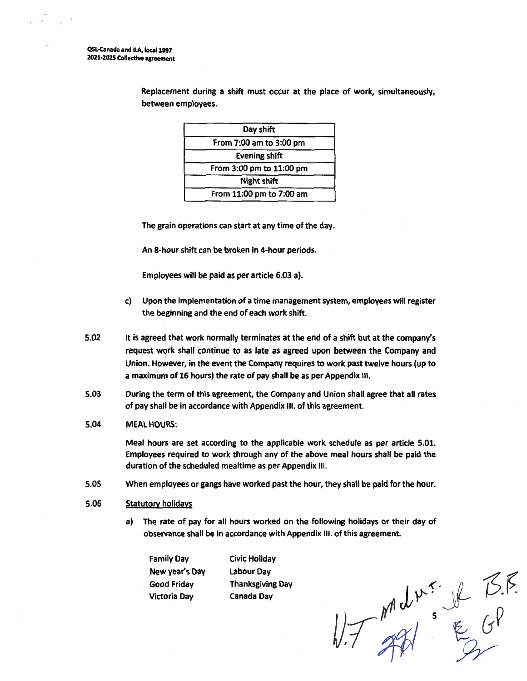**QSL-Canada and ILA, local 1997 2021\*2025 Collective agreement**

| Day shift                |  |
|--------------------------|--|
| From 7:00 am to 3:00 pm  |  |
| <b>Evening shift</b>     |  |
| From 3:00 pm to 11:00 pm |  |
| <b>Night shift</b>       |  |
| From 11:00 pm to 7:00 am |  |

**Replacement during <sup>a</sup> shift must occur at the place of work, simultaneously, between employees.**

**The grain operations can start at any time of the day.**

**An 8-hour shift can be broken in 4-hour periods.**

**Employees will be paid as per article 6.03 a).**

- **c) Upon the implementationof <sup>a</sup> time management system,employees will register the beginning and the end of each work shift.**
- **5.02 It is agreed that work normally terminates at the end of a shift but at the company's request work shall continue to as late as agreed upon between the Company and Union. However, in the event the Company requires to work past twelve hours (up to a maximum of 16 hours) the rate of pay shall be as per Appendix III.**
- **During the term of this agreement, the Company and Union shall agree that all rates of pay shall be in accordance with Appendix III. of this agreement. 5.03**
- **MEAL HOURS: 5.04**

**Meal hours are set according to the applicable work schedule as per article 5.01. Employees required to work through any of the above meal hours shall be paid the duration of the scheduled mealtime as per Appendix III.**

- **5.05 When employees or gangs have worked past the hour,they shall be paid for the hour.**
- **5.06 Statutory holidays**
	- **a) The rate of pay for all hours worked on the following holidays or their day of observance shall be in accordance with Appendix III. of this agreement.**

**Family Day New year's Day Good Friday Victoria Day**

**Civic Holiday Labour Day Thanksgiving Day Canada Day**

 $NTAM = \frac{1}{2}GP$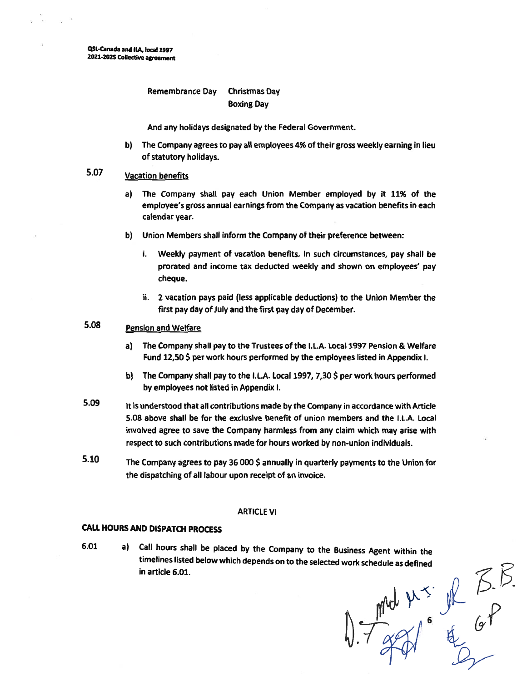**QSl-Canada and IIA,local1997 2021-2025 Collective agreement**

# **Remembrance Day Christmas Day Boxing Day**

**And any holidays designated by the Federal Government.**

**b) The Company agrees to pay all employees 4% of their gross weekly earning in lieu of statutory holidays.**

# **Vacation benefits 5.07**

- **a) The Company shall pay each Union Member employed by it 11% of the employee's gross annual earnings from the Company as vacation benefits in each calendar year.**
- **b) Union Members shall inform the Company of their preference between:**
	- **i. Weekly payment of vacation benefits. In such circumstances, pay shall be prorated and income tax deducted weekly and shown on employees' pay cheque.**
	- **ii. 2 vacation pays paid (less applicable deductions) to the Union Member the first pay day of July and the first pay day of December.**

#### **Pension and Welfare 5.08**

- **a) The Company shall pay to the Trustees of the I.L.A. Local 1997 Pension & Welfare Fund 12,50 \$ per work hours performed by the employees listed in Appendix I.**
- **b) The Company shall pay to the I.L.A. Local 1997,7,30 \$ per work hours performed by employees not listed in Appendix I.**
- **Itis understood that all contributions made by the Company in accordance with Article 5.08 above shall be for the exclusive benefit of union members and the I.L.A. Local involved agree to save the Company harmless from any claim which may arise with respect to such contributions made for hours worked by non-union individuals. 5.09**
- **The Company agrees to pay 36 000 \$ annually in quarterly payments to the Union for the dispatching of all labour upon receipt of an invoice. 5.10**

# **ARTICLE VI**

# **CALL HOURS AND DISPATCH PROCESS**

**a) Call hours shall be placed by the Company to the Business Agent within the in article 6.01. 6.01**

timelines listed below which depends on to the selected work schedule as defined<br>in article 6.01.<br> $\sqrt{\frac{M(V)}{1 + M(V)}}$  6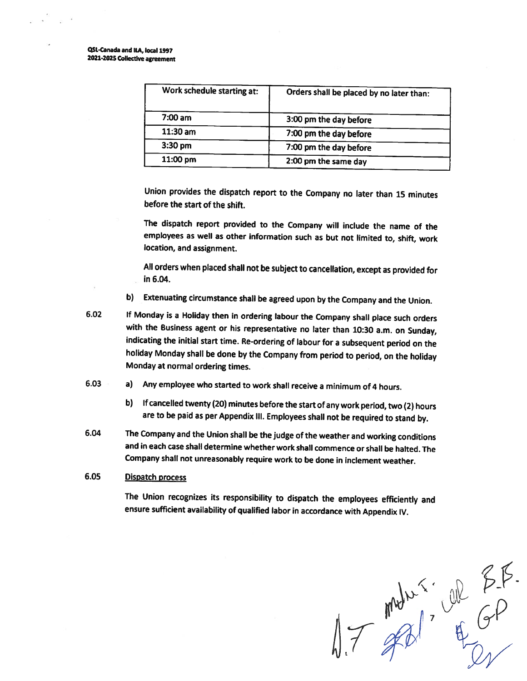QSl -Canada and ILA,local 1997 2021-2025 Collective agreement

| Work schedule starting at: | Orders shall be placed by no later than: |  |
|----------------------------|------------------------------------------|--|
| $7:00 \text{ am}$          | 3:00 pm the day before                   |  |
| $11:30$ am                 | 7:00 pm the day before                   |  |
| $3:30$ pm                  | 7:00 pm the day before                   |  |
| 11:00 pm                   | 2:00 pm the same day                     |  |

Union provides the dispatch report to the Company no later than <sup>15</sup> minutes before the start of the shift.

The dispatch report provided to the Company will include the name of the employees as well as other information such as but not limited to, shift, work location, and assignment.

All orderswhen <sup>p</sup>laced shall not be subject to cancellation, except as provided for in 6.04.

- <sup>b</sup>) Extenuating circumstance shall be agreed upon by the Company and the Union.
- If Monday is <sup>a</sup> Holiday then in ordering labour the Company shall <sup>p</sup>lace such orders with the Business agent or his representative no later than <sup>10</sup>:<sup>30</sup> <sup>a</sup>.m. on Sunday, indicating the initial start time. Re-ordering of labour for <sup>a</sup> subsequent period on the holiday Monday shall be done by the Company from period to period, on the holiday Monday at normal ordering times. **6.02**
- <sup>a</sup>) Any employee who started to work shall receive <sup>a</sup> minimum of <sup>4</sup> hours. 6.03
	- b) If cancelled twenty (20) minutes before the start of any work period, two (2) hours are to be paid as per Appendix III. Employees shall not be required to stand by.
- The Company and the Union shall be the judge of the weather and working conditions and in each case shall determine whether work shall commence or shall be halted. The Company shall not unreasonably require work to be done in inclement weather. 6.04

# 6.05 Dispatch process

The Union recognizes its responsibility to dispatch the employees efficiently and ensure sufficient availability of qualified labor in accordance with Appendix IV.

 $17 \frac{mhr}{f} \frac{m^2m^2m}{f} \frac{dP}{dr}$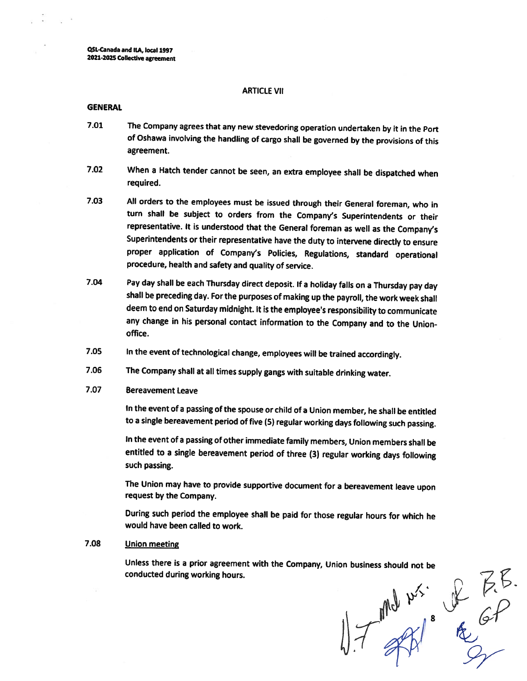**QSL-Canada andILA,local1997 2021-2025 Collective agreement**

#### **ARTICLE VII**

#### **GENERAL**

- **7.01 The Company agrees that any new stevedoring operation undertaken by it in the Port of Oshawa involving the handling of cargo shall be governed by the provisions of this agreement.**
- **7.02 When <sup>a</sup> Hatch tender cannot be seen, an extra employee shall be dispatched when required.**
- **All orders to the employees must be issued through their General foreman, who in turn shall be subject to orders from the Company'<sup>s</sup> Superintendents or their representative. It is understood that the General foreman as well as the Company'<sup>s</sup> Superintendents or their representative have the duty to intervene directly to ensure proper application of Company'<sup>s</sup> Policies, Regulations, standard operational procedure,health and safety and quality of service. 7.03**
- **Pay day shall be each Thursday direct deposit. If <sup>a</sup> holiday falls on <sup>a</sup> Thursday pay day shall be preceding day. For the purposesof making up the payroll,the work week shall deem to end on Saturday midnight.It is the employee'<sup>s</sup> responsibility to communicate any change in his personal contact information to the Company and to the Unionoffice. 7.04**
- **7.05 In the event of technological change,employees will be trained accordingly.**
- **The Company shall at all times supply gangs with suitable drinking water. 7.06**
- **7.07 Bereavement Leave**

**In the eventof <sup>a</sup> passingofthe spouse or child of <sup>a</sup> Union member,he shall be entitled to <sup>a</sup> single bereavement period of five (5) regular working days following such passing.**

**In the event of <sup>a</sup> passing of other immediate family members,Union members shall be entitled to <sup>a</sup> single bereavement period of three (3) regular working days following such passing.**

**The Union may have to provide supportive document for <sup>a</sup> bereavement leave upon request by the Company.**

**During such period the employee shall be paid for those regular hours for which he would have been called to work.**

# **7.08 Union meeting**

**conducted during working hours.**

Unless there is a prior agreement with the Company, Union business should not be<br>
conducted during working hours.<br>  $\frac{1}{2}$ <br>  $\frac{1}{2}$ <br>  $\frac{1}{2}$ <br>  $\frac{1}{2}$ <br>  $\frac{1}{2}$ <br>  $\frac{1}{2}$ <br>  $\frac{1}{2}$ <br>  $\frac{1}{2}$ <br>  $\frac{1}{2}$ <br>  $\frac{1}{2}$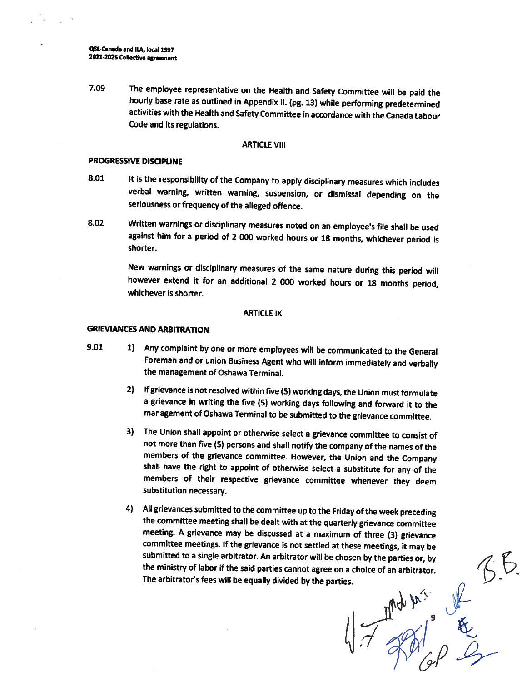**QSt-Canada and <sup>I</sup>LA,local 1997 2021-202<sup>S</sup> Collective agreement**

**The employee representative on the Health and Safety Committee will be paid the hourly base rate as outlined in Appendix II. (pg. <sup>13</sup>) while performing predetermined activities with the Health and Safety Committee in accordance with the Canada Labour Code and its regulations. 7.09**

#### **ARTICLE VIII**

#### **PROGRESSIVE DISCIPLINE**

- **It is the responsibility of the Company to apply disciplinary measures which includes verbal warning, written warning, suspension, or dismissal depending on the seriousness or frequency of the alleged offence. 8.01**
- **Written warnings or disciplinary measures noted on an employee'<sup>s</sup> file shall be used against him for <sup>a</sup> period of <sup>2</sup> <sup>000</sup> worked hours or <sup>18</sup> months, whichever period is shorter. 8.02**

**New warnings or disciplinary measures of the same nature during this period will however extend it for an additional <sup>2</sup> <sup>000</sup> worked hours or <sup>18</sup> months period, whichever is shorter.**

#### **ARTICLE IX**

# **GRIEVANCES AND ARBITRATION**

- **<sup>1</sup>) Any complaint by one or more employees will be communicated to the General Foreman and or union Business Agent who will inform immediately and verbally the management of Oshawa Terminal. 9.01**
	- **<sup>2</sup>) Ifgrievance is notresolved withinfive (5) workingdays,the Union must formulate <sup>a</sup> grievance in writing the five (5) working days following and forward it to the management of Oshawa Terminal to be submitted to the grievance committee.**
	- **<sup>3</sup>) The Union shall appoint or otherwise select <sup>a</sup> grievance committee to consist of not more than five (5) persons and shall notify the company of the names of the members of the grievance committee. However, the Union and the Company shall have the right to appoint of otherwise select <sup>a</sup> substitute for any of the members of their respective grievance committee whenever they deem substitution necessary.**
	- **<sup>4</sup>) Allgrievances submitted to the committee up to the Fridayof the week preceding the committee meeting shall be dealt with at the quarterly grievance committee meeting. <sup>A</sup> grievance may be discussed at <sup>a</sup> maximum of three (3) grievance committee meetings. If the grievance is not settled at these meetings, it may be the ministry of labor if the said parties cannot agree on <sup>a</sup> choice of an arbitrator. The arbitrator'<sup>s</sup> fees will be equally divided by the parties.**

**submitted** to a single arbitrator. An arbitrator will be chosen by the parties or, by<br>the ministry of labor if the said parties cannot agree on a choice of an arbitrator.<br>The arbitrator's fees will be equally divided by t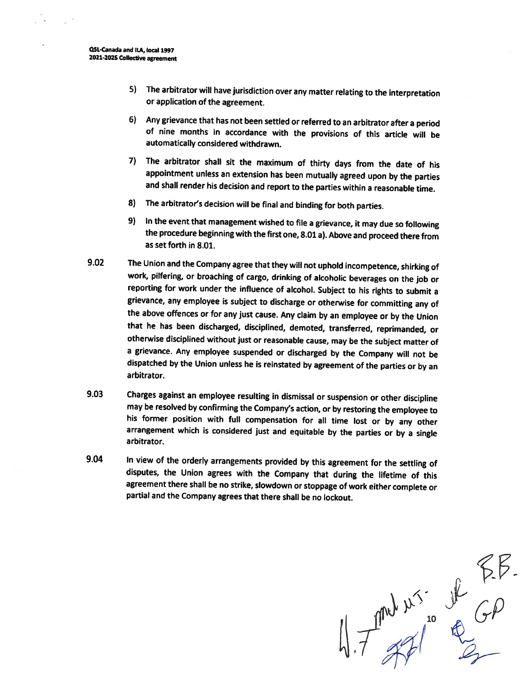- **<sup>5</sup>) The arbitrator will have jurisdiction over any matter relating to the interpretation or application of the agreement.**
- **Any grievance that has not been settled orreferred to an arbitrator after <sup>a</sup> period 6) of nine months in accordance with the provisions of this article will be automatically considered withdrawn.**
- **The arbitrator shall sit the maximum of thirty days from the date of his 7) appointment unless an extension has been mutually agreed upon by the parties and shall render his decision and report to the parties within <sup>a</sup> reasonable time.**
- **The arbitrator'<sup>s</sup> decision will be final and binding for both parties. 8)**
- **In the event that management wished to file <sup>a</sup> grievance,it may due so following 9) the procedure beginningwiththe firstone,8.01a). Above and proceed there from as set forth in 8.01.**
- **The Union and the Company agree thatthey will not uphold incompetence,shirking of work, pilfering, or broaching of cargo, drinking of alcoholic beverages on the job or reporting for work under the influence of alcohol. Subject to his rights to submit <sup>a</sup> grievance, any employee is subject to discharge or otherwise for committing any of the above offences or for any just cause. Any claim by an employee or by the Union that he has been discharged, disciplined, demoted, transferred, reprimanded, or otherwise disciplined without just or reasonable cause, may be the subject matter of <sup>a</sup> grievance. Any employee suspended or discharged by the Company will not be dispatched by the Union unless he is reinstated by agreement of the parties or by an arbitrator. 9.02**
- **Charges against an employee resulting in dismissal or suspension or other discipline may be resolved by confirming the Company'<sup>s</sup> action,or by restoring the employee to his former position with full compensation for all time lost or by any other arrangement which is considered just and equitable by the parties or by <sup>a</sup> single arbitrator. 9.03**
- **9.04 In view of the orderly arrangements provided by this agreement for the settling of disputes, the Union agrees with the Company that during the lifetime of this agreement there shall be no strike, slowdown or stoppage of work either complete or partial and the Company agrees that there shall be no lockout.**

 $47$  and  $x^3$  is  $x^4$  of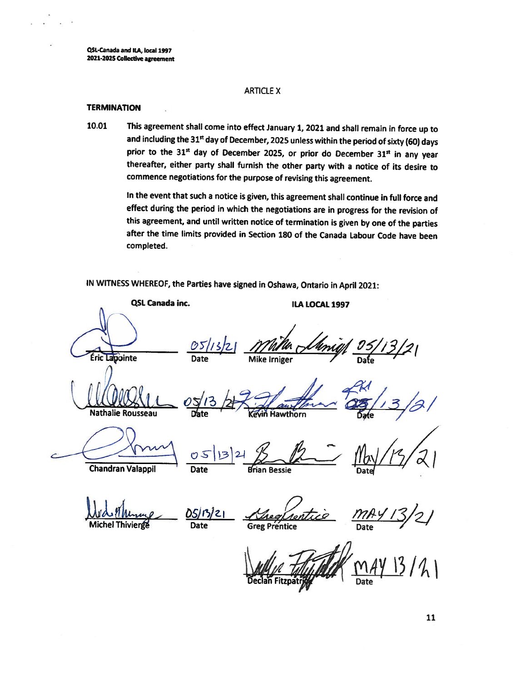**QSl-Canada and ILA,local 1997 2021-202SCollective agreement**

# ARTICLE X

### **TERMINATION**

**10.01** This agreement shall come into effect January1,2021and shall remain in force up to and including the 31st day of December, 2025 unless within the period of sixty (60) days prior to the 31 $<sup>st</sup>$  day of December 2025, or prior do December 31 $<sup>st</sup>$  in any year</sup></sup> thereafter, either party shall furnish the other party with <sup>a</sup> notice of its desire to commence negotiations for the purpose of revising this agreement.

> In the event that such a notice is given, this agreement shall continue in full force and effect during the period in which the negotiations are in progress for the revision of this agreement, and until written notice of termination is given by one of the parties after the time limits provided in Section <sup>180</sup> of the Canada Labour Code have been completed.

IN WITNESS WHEREOF, the Parties have signed in Oshawa, Ontario in April 2021:

**QSL Canada inc. ILA LOCAL 1997** Éric Lapointe

Nathalie Rousseau

 $\frac{0}{\text{Date}}$ *fk/h/zi* Date Bfrian Bessie Date/ Chandran Valappil

*0S)<sup>r</sup>>}<sup>z</sup>***<sup>I</sup>**

'

*0*

Michel Thivierge Date Greg Prentice Date Date

evin Hawthorn

Mike Irniger

 $\rightarrow$ 

Declan Fitzpat

 $s/13$  /2  $\frac{1}{2}$  author  $\frac{28}{25}$ /13/2/

**11**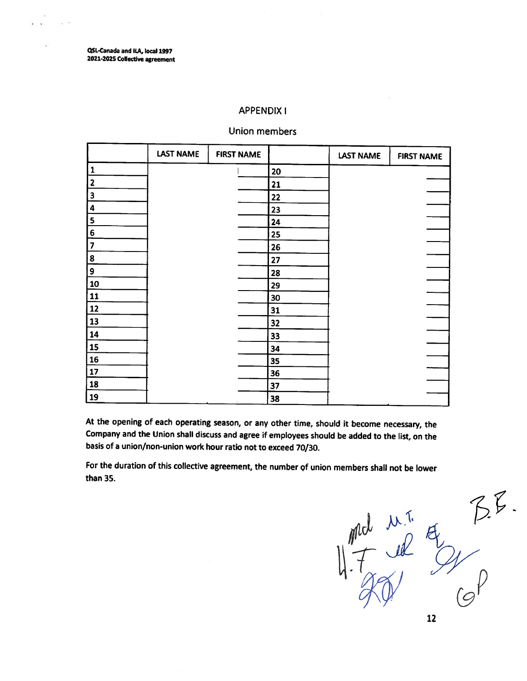**QSL-Canada and <sup>I</sup>LA,local1997 -2025 Collective agreement**

# **APPENDIX I**

# **Union members**

|                         | <b>LAST NAME</b> | <b>FIRST NAME</b> |    | <b>LAST NAME</b> | <b>FIRST NAME</b> |
|-------------------------|------------------|-------------------|----|------------------|-------------------|
| 1                       |                  |                   | 20 |                  |                   |
| $\overline{\mathbf{c}}$ |                  |                   | 21 |                  |                   |
| $\overline{\mathbf{3}}$ |                  |                   | 22 |                  |                   |
| $\ddot{\mathbf{4}}$     |                  |                   | 23 |                  |                   |
| $\mathsf S$             |                  |                   | 24 |                  |                   |
| $\bf 6$                 |                  |                   | 25 |                  |                   |
| $\overline{7}$          |                  |                   | 26 |                  |                   |
| 8                       |                  |                   | 27 |                  |                   |
| 9                       |                  |                   | 28 |                  |                   |
| 10                      |                  |                   | 29 |                  |                   |
| 11                      |                  |                   | 30 |                  |                   |
| 12                      |                  |                   | 31 |                  |                   |
| 13                      |                  |                   | 32 |                  |                   |
| 14                      |                  |                   | 33 |                  |                   |
| 15                      |                  |                   | 34 |                  |                   |
| ${\bf 16}$              |                  |                   | 35 |                  |                   |
| $17$                    |                  |                   | 36 |                  |                   |
| 18                      |                  |                   | 37 |                  |                   |
| 19                      |                  |                   | 38 |                  |                   |

**At the opening of each operating season, or any other time, should it become necessary, the** Company and the Union shall discuss and agree if employees should be added to the list, on the **basis of <sup>a</sup> union/non-union work hour ratio not to exceed <sup>70</sup>/30.**

**For the duration of this collective agreement, the number Qf union members shall not be lower than 35.**

 $B.$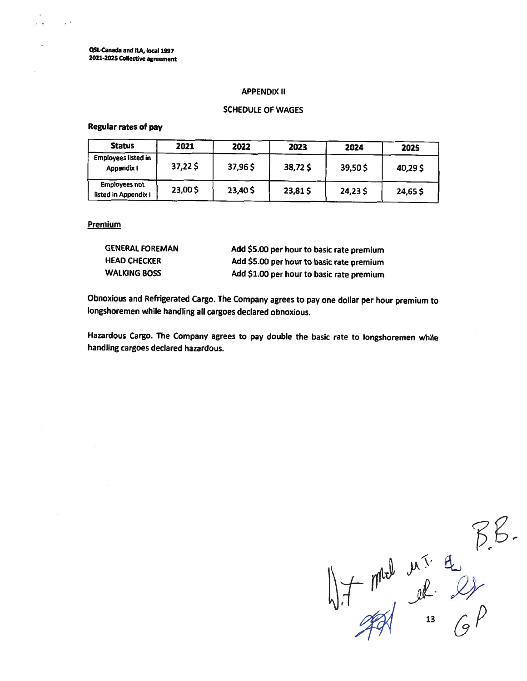**QSL-Canada andILA,local 1997 <sup>2021</sup>-2025 Collective agreement**

#### **APPENDIX II**

# **SCHEDULE OF WAGES**

# **Regular rates of pay**

| <b>Status</b>                                | 2021    | 2022    | 2023    | 2024    | 2025    |
|----------------------------------------------|---------|---------|---------|---------|---------|
| <b>Employees listed in</b><br>Appendix I     | 37,225  | 37,96\$ | 38,72\$ | 39,50\$ | 40,29\$ |
| <b>Employees not</b><br>listed in Appendix I | 23,00\$ | 23,40\$ | 23,81\$ | 24,23\$ | 24,65\$ |

#### **Premium**

| <b>GENERAL FOREMAN</b> | Add \$5.00 per hour to basic rate premium |
|------------------------|-------------------------------------------|
| <b>HEAD CHECKER</b>    | Add \$5.00 per hour to basic rate premium |
| <b>WALKING BOSS</b>    | Add \$1.00 per hour to basic rate premium |

**Obnoxious and Refrigerated Cargo. The Company agrees to pay one dollar per hour premium to longshoremen while handling all cargoes declared obnoxious.**

**Hazardous Cargo. The Company agrees to pay double the basic rate to longshoremen while handling cargoes declared hazardous.**

 $17.7000 m<sup>2</sup> h.<sup>2</sup> g.<sup>2</sup> g.<sup>2</sup> g.<sup>2</sup> g.<sup>2</sup> g.<sup>2</sup>$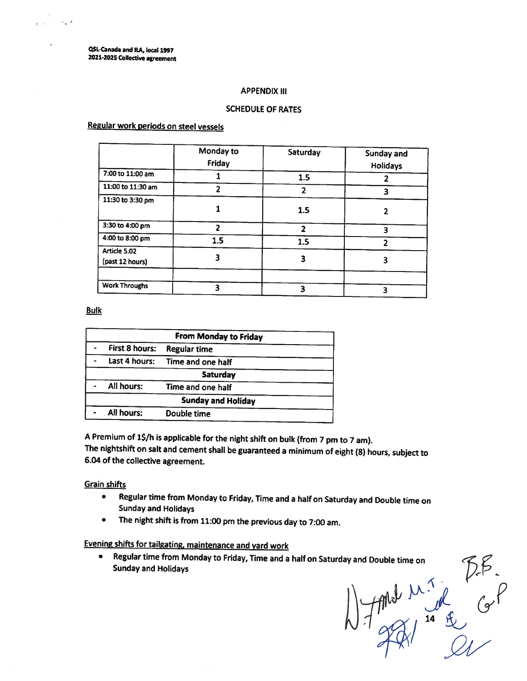**QSL-Canada and ILA,local 1997 <sup>2021</sup>-2025 Collective agreement**

#### **APPENDIX III**

# **SCHEDULE OF RATES**

# **Regular work periods on steel vessels**

|                                 | Monday to<br>Friday      | Saturday | Sunday and<br><b>Holidays</b> |
|---------------------------------|--------------------------|----------|-------------------------------|
| 7:00 to 11:00 am                |                          | 1.5      |                               |
| 11:00 to 11:30 am               |                          | 2        | 3                             |
| 11:30 to 3:30 pm                |                          | 1.5      |                               |
| 3:30 to 4:00 pm                 | $\overline{\phantom{a}}$ | 2        | 3                             |
| 4:00 to 8:00 pm                 | 1.5                      | 1.5      | າ                             |
| Article 5.02<br>(past 12 hours) |                          | З        | 3                             |
| <b>Work Throughs</b>            |                          |          |                               |
|                                 |                          | 3        | 3                             |

### **Bulk**

| <b>From Monday to Friday</b> |                           |  |  |
|------------------------------|---------------------------|--|--|
| First 8 hours:               | <b>Regular time</b>       |  |  |
| Last 4 hours:                | Time and one half         |  |  |
|                              | <b>Saturday</b>           |  |  |
| All hours:                   | Time and one half         |  |  |
|                              | <b>Sunday and Holiday</b> |  |  |
| All hours:                   | Double time               |  |  |
|                              |                           |  |  |

A Premium of 1\$/h is applicable for the night shift on bulk (from 7 pm to 7 am). The nightshift on salt and cement shall be guaranteed a minimum of eight (8) hours, subject to **6.04 of the collective agreement.**

# **Grain shifts**

- **• Regular time from Monday to Friday, Time and <sup>a</sup> half on Saturday and Double time on Sunday and Holidays**
- **•The night shift is from <sup>11</sup>:<sup>00</sup> pm the previous day to <sup>7</sup>:00am.**

# **Evening shifts for tailgating, maintenance and yard work**

**•Sunday and Holidays**

**Regular time from Monday to Friday,Time and <sup>a</sup> half on Saturday and Double time on**